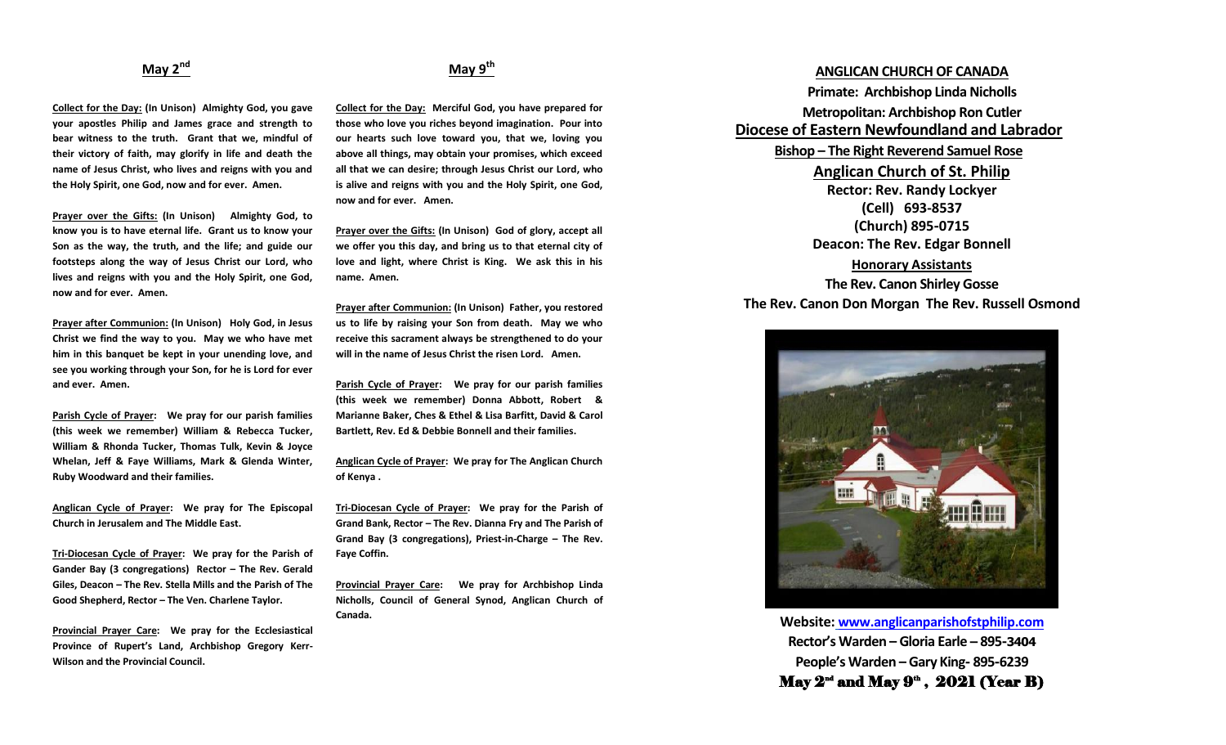## **May 2nd**

**Collect for the Day: (In Unison) Almighty God, you gave your apostles Philip and James grace and strength to bear witness to the truth. Grant that we, mindful of their victory of faith, may glorify in life and death the name of Jesus Christ, who lives and reigns with you and the Holy Spirit, one God, now and for ever. Amen.**

**Prayer over the Gifts: (In Unison) Almighty God, to know you is to have eternal life. Grant us to know your Son as the way, the truth, and the life; and guide our footsteps along the way of Jesus Christ our Lord, who lives and reigns with you and the Holy Spirit, one God, now and for ever. Amen.**

**Prayer after Communion: (In Unison) Holy God, in Jesus Christ we find the way to you. May we who have met him in this banquet be kept in your unending love, and see you working through your Son, for he is Lord for ever and ever. Amen.**

**Parish Cycle of Prayer: We pray for our parish families (this week we remember) William & Rebecca Tucker, William & Rhonda Tucker, Thomas Tulk, Kevin & Joyce Whelan, Jeff & Faye Williams, Mark & Glenda Winter, Ruby Woodward and their families.**

**Anglican Cycle of Prayer: We pray for The Episcopal Church in Jerusalem and The Middle East.**

**Tri-Diocesan Cycle of Prayer: We pray for the Parish of Gander Bay (3 congregations) Rector – The Rev. Gerald Giles, Deacon – The Rev. Stella Mills and the Parish of The Good Shepherd, Rector – The Ven. Charlene Taylor.**

**Provincial Prayer Care: We pray for the Ecclesiastical Province of Rupert's Land, Archbishop Gregory Kerr-Wilson and the Provincial Council.**

### **May 9th**

**Collect for the Day: Merciful God, you have prepared for those who love you riches beyond imagination. Pour into our hearts such love toward you, that we, loving you above all things, may obtain your promises, which exceed all that we can desire; through Jesus Christ our Lord, who is alive and reigns with you and the Holy Spirit, one God, now and for ever. Amen.** 

**Prayer over the Gifts: (In Unison) God of glory, accept all we offer you this day, and bring us to that eternal city of love and light, where Christ is King. We ask this in his name. Amen.**

**Prayer after Communion: (In Unison) Father, you restored us to life by raising your Son from death. May we who receive this sacrament always be strengthened to do your will in the name of Jesus Christ the risen Lord. Amen.**

**Parish Cycle of Prayer: We pray for our parish families (this week we remember) Donna Abbott, Robert & Marianne Baker, Ches & Ethel & Lisa Barfitt, David & Carol Bartlett, Rev. Ed & Debbie Bonnell and their families.**

**Anglican Cycle of Prayer: We pray for The Anglican Church of Kenya .**

**Tri-Diocesan Cycle of Prayer: We pray for the Parish of Grand Bank, Rector – The Rev. Dianna Fry and The Parish of**  Grand Bay (3 congregations), Priest-in-Charge – The Rev. **Faye Coffin.**

**Provincial Prayer Care: We pray for Archbishop Linda Nicholls, Council of General Synod, Anglican Church of Canada.**

## **ANGLICAN CHURCH OF CANADA Primate: Archbishop Linda Nicholls Metropolitan: Archbishop Ron Cutler Diocese of Eastern Newfoundland and Labrador Bishop – The Right Reverend Samuel Rose Anglican Church of St. Philip Rector: Rev. Randy Lockyer (Cell) 693-8537**

**(Church) 895-0715 Deacon: The Rev. Edgar Bonnell** 

**Honorary Assistants The Rev. Canon Shirley Gosse The Rev. Canon Don Morgan The Rev. Russell Osmond**



**Website: [www.anglicanparishofstphilip.com](http://www.anglicanparishofstphilip.com/) Rector's Warden – Gloria Earle – 895-3404 People's Warden – Gary King- 895-6239** May  $2^{\text{nd}}$  and May  $9^{\text{th}}$  ,  $2021$  (Year B)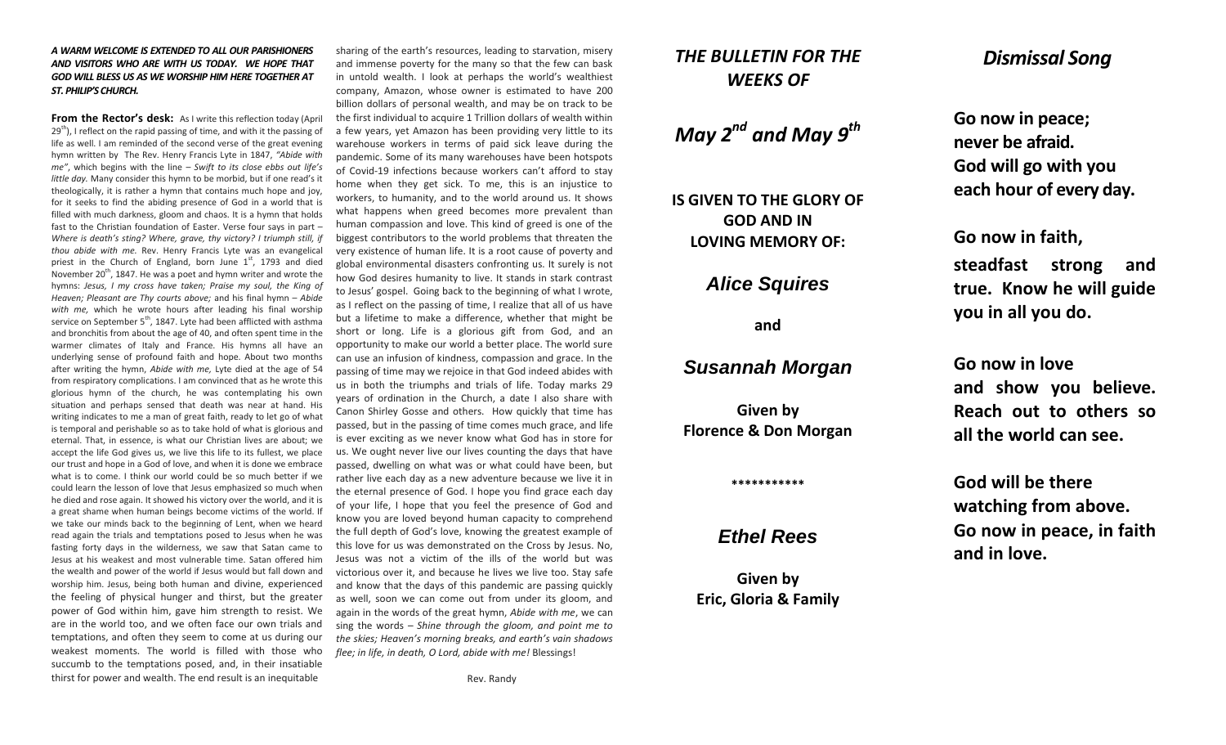#### *A WARM WELCOME IS EXTENDED TO ALL OUR PARISHIONERS AND VISITORS WHO ARE WITH US TODAY. WE HOPE THAT GOD WILL BLESS US AS WE WORSHIP HIM HERE TOGETHER AT ST. PHILIP'S CHURCH.*

**From the Rector's desk:** As I write this reflection today (April  $29<sup>th</sup>$ ), I reflect on the rapid passing of time, and with it the passing of life as well. I am reminded of the second verse of the great evening hymn written by The Rev. Henry Francis Lyte in 1847, *"Abide with me"*, which begins with the line – *Swift to its close ebbs out life's little day.* Many consider this hymn to be morbid, but if one read's it theologically, it is rather a hymn that contains much hope and joy, for it seeks to find the abiding presence of God in a world that is filled with much darkness, gloom and chaos. It is a hymn that holds fast to the Christian foundation of Easter. Verse four says in part – *Where is death's sting? Where, grave, thy victory? I triumph still, if thou abide with me.* Rev. Henry Francis Lyte was an evangelical priest in the Church of England, born June  $1<sup>st</sup>$ , 1793 and died November  $20<sup>th</sup>$ , 1847. He was a poet and hymn writer and wrote the hymns: *Jesus, I my cross have taken; Praise my soul, the King of Heaven; Pleasant are Thy courts above;* and his final hymn – *Abide with me,* which he wrote hours after leading his final worship service on September 5<sup>th</sup>, 1847. Lyte had been afflicted with asthma and bronchitis from about the age of 40, and often spent time in the warmer climates of Italy and France. His hymns all have an underlying sense of profound faith and hope. About two months after writing the hymn, *Abide with me,* Lyte died at the age of 54 from respiratory complications. I am convinced that as he wrote this glorious hymn of the church, he was contemplating his own situation and perhaps sensed that death was near at hand. His writing indicates to me a man of great faith, ready to let go of what is temporal and perishable so as to take hold of what is glorious and eternal. That, in essence, is what our Christian lives are about; we accept the life God gives us, we live this life to its fullest, we place our trust and hope in a God of love, and when it is done we embrace what is to come. I think our world could be so much better if we could learn the lesson of love that Jesus emphasized so much when he died and rose again. It showed his victory over the world, and it is a great shame when human beings become victims of the world. If we take our minds back to the beginning of Lent, when we heard read again the trials and temptations posed to Jesus when he was fasting forty days in the wilderness, we saw that Satan came to Jesus at his weakest and most vulnerable time. Satan offered him the wealth and power of the world if Jesus would but fall down and worship him. Jesus, being both human and divine, experienced the feeling of physical hunger and thirst, but the greater power of God within him, gave him strength to resist. We are in the world too, and we often face our own trials and temptations, and often they seem to come at us during our weakest moments. The world is filled with those who succumb to the temptations posed, and, in their insatiable thirst for power and wealth. The end result is an inequitable

sharing of the earth's resources, leading to starvation, misery and immense poverty for the many so that the few can bask in untold wealth. I look at perhaps the world's wealthiest company, Amazon, whose owner is estimated to have 200 billion dollars of personal wealth, and may be on track to be the first individual to acquire 1 Trillion dollars of wealth within a few years, yet Amazon has been providing very little to its warehouse workers in terms of paid sick leave during the pandemic. Some of its many warehouses have been hotspots of Covid-19 infections because workers can't afford to stay home when they get sick. To me, this is an injustice to workers, to humanity, and to the world around us. It shows what happens when greed becomes more prevalent than human compassion and love. This kind of greed is one of the biggest contributors to the world problems that threaten the very existence of human life. It is a root cause of poverty and global environmental disasters confronting us. It surely is not how God desires humanity to live. It stands in stark contrast to Jesus' gospel. Going back to the beginning of what I wrote, as I reflect on the passing of time, I realize that all of us have but a lifetime to make a difference, whether that might be short or long. Life is a glorious gift from God, and an opportunity to make our world a better place. The world sure can use an infusion of kindness, compassion and grace. In the passing of time may we rejoice in that God indeed abides with us in both the triumphs and trials of life. Today marks 29 years of ordination in the Church, a date I also share with Canon Shirley Gosse and others. How quickly that time has passed, but in the passing of time comes much grace, and life is ever exciting as we never know what God has in store for us. We ought never live our lives counting the days that have passed, dwelling on what was or what could have been, but rather live each day as a new adventure because we live it in the eternal presence of God. I hope you find grace each day of your life, I hope that you feel the presence of God and know you are loved beyond human capacity to comprehend the full depth of God's love, knowing the greatest example of this love for us was demonstrated on the Cross by Jesus. No, Jesus was not a victim of the ills of the world but was victorious over it, and because he lives we live too. Stay safe and know that the days of this pandemic are passing quickly as well, soon we can come out from under its gloom, and again in the words of the great hymn, *Abide with me*, we can sing the words – *Shine through the gloom, and point me to the skies; Heaven's morning breaks, and earth's vain shadows flee; in life, in death, O Lord, abide with me!* Blessings!

Rev. Randy

# *THE BULLETIN FOR THE WEEKS OF*

*May 2nd and May 9th*

**IS GIVEN TO THE GLORY OF GOD AND IN LOVING MEMORY OF:**

# *Alice Squires*

**and**

## *Susannah Morgan*

**Given by Florence & Don Morgan**

#### **\*\*\*\*\*\*\*\*\*\*\***

# *Ethel Rees*

**Given by Eric, Gloria & Family**

# *Dismissal Song*

**Go now in peace; never be afraid. God will go with you each hour of every day.**

**Go now in faith,** 

**steadfast strong and true. Know he will guide you in all you do.**

**Go now in love and show you believe. Reach out to others so all the world can see.**

**God will be there watching from above. Go now in peace, in faith and in love.**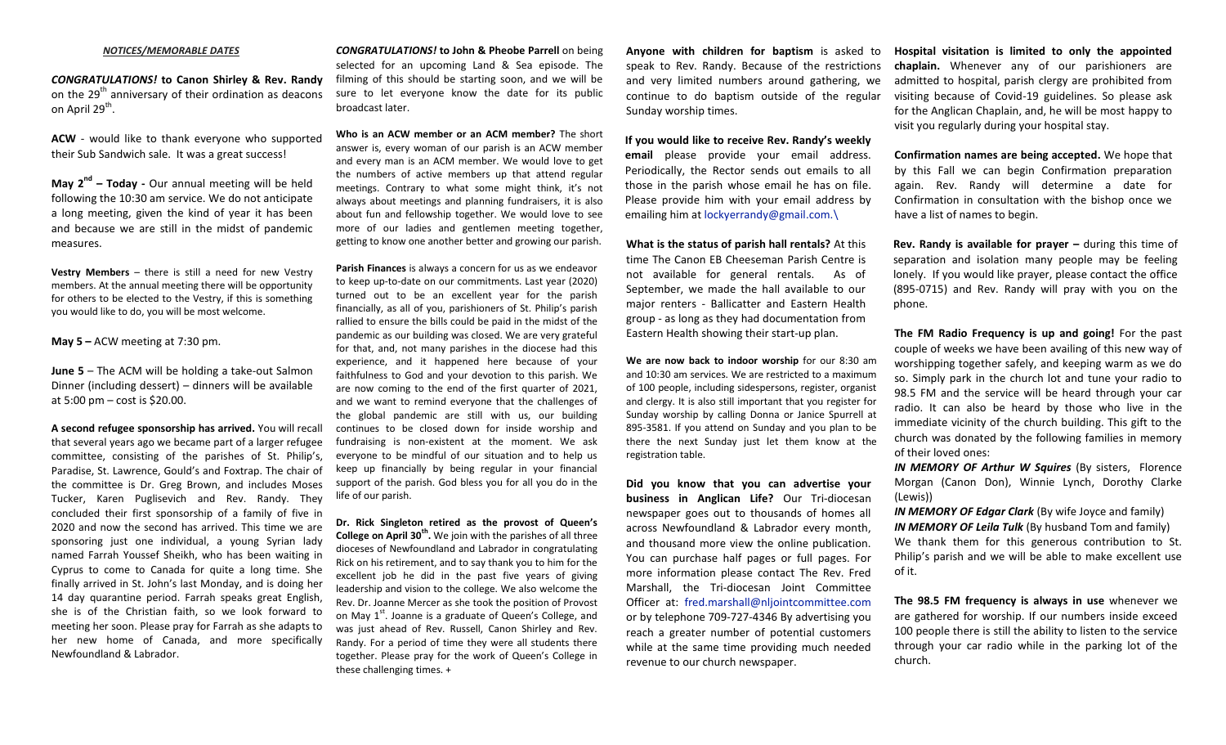#### *NOTICES/MEMORABLE DATES*

*CONGRATULATIONS!* **to Canon Shirley & Rev. Randy** on the  $29<sup>th</sup>$  anniversary of their ordination as deacons on April 29<sup>th</sup>.

**ACW** - would like to thank everyone who supported their Sub Sandwich sale. It was a great success!

**May 2nd – Today -** Our annual meeting will be held following the 10:30 am service. We do not anticipate a long meeting, given the kind of year it has been and because we are still in the midst of pandemic measures.

**Vestry Members** – there is still a need for new Vestry members. At the annual meeting there will be opportunity for others to be elected to the Vestry, if this is something you would like to do, you will be most welcome.

**May 5 –** ACW meeting at 7:30 pm.

**June 5** – The ACM will be holding a take-out Salmon Dinner (including dessert) – dinners will be available at 5:00 pm – cost is \$20.00.

**A second refugee sponsorship has arrived.** You will recall that several years ago we became part of a larger refugee committee, consisting of the parishes of St. Philip's, Paradise, St. Lawrence, Gould's and Foxtrap. The chair of the committee is Dr. Greg Brown, and includes Moses Tucker, Karen Puglisevich and Rev. Randy. They concluded their first sponsorship of a family of five in 2020 and now the second has arrived. This time we are sponsoring just one individual, a young Syrian lady named Farrah Youssef Sheikh, who has been waiting in Cyprus to come to Canada for quite a long time. She finally arrived in St. John's last Monday, and is doing her 14 day quarantine period. Farrah speaks great English, she is of the Christian faith, so we look forward to meeting her soon. Please pray for Farrah as she adapts to her new home of Canada, and more specifically Newfoundland & Labrador.

*CONGRATULATIONS!* **to John & Pheobe Parrell** on being selected for an upcoming Land & Sea episode. The filming of this should be starting soon, and we will be sure to let everyone know the date for its public broadcast later.

**Who is an ACW member or an ACM member?** The short answer is, every woman of our parish is an ACW member and every man is an ACM member. We would love to get the numbers of active members up that attend regular meetings. Contrary to what some might think, it's not always about meetings and planning fundraisers, it is also about fun and fellowship together. We would love to see more of our ladies and gentlemen meeting together, getting to know one another better and growing our parish.

**Parish Finances** is always a concern for us as we endeavor to keep up-to-date on our commitments. Last year (2020) turned out to be an excellent year for the parish financially, as all of you, parishioners of St. Philip's parish rallied to ensure the bills could be paid in the midst of the pandemic as our building was closed. We are very grateful for that, and, not many parishes in the diocese had this experience, and it happened here because of your faithfulness to God and your devotion to this parish. We are now coming to the end of the first quarter of 2021, and we want to remind everyone that the challenges of the global pandemic are still with us, our building continues to be closed down for inside worship and fundraising is non-existent at the moment. We ask everyone to be mindful of our situation and to help us keep up financially by being regular in your financial support of the parish. God bless you for all you do in the life of our parish.

**Dr. Rick Singleton retired as the provost of Queen's College on April 30th .** We join with the parishes of all three dioceses of Newfoundland and Labrador in congratulating Rick on his retirement, and to say thank you to him for the excellent job he did in the past five years of giving leadership and vision to the college. We also welcome the Rev. Dr. Joanne Mercer as she took the position of Provost on May 1<sup>st</sup>. Joanne is a graduate of Queen's College, and was just ahead of Rev. Russell, Canon Shirley and Rev. Randy. For a period of time they were all students there together. Please pray for the work of Queen's College in these challenging times. +

**Anyone with children for baptism** is asked to speak to Rev. Randy. Because of the restrictions and very limited numbers around gathering, we continue to do baptism outside of the regular Sunday worship times.

**If you would like to receive Rev. Randy's weekly email** please provide your email address. Periodically, the Rector sends out emails to all those in the parish whose email he has on file. Please provide him with your email address by emailing him at [lockyerrandy@gmail.com.\](mailto:lockyerrandy@gmail.com./)

**What is the status of parish hall rentals?** At this time The Canon EB Cheeseman Parish Centre is not available for general rentals. As of September, we made the hall available to our major renters - Ballicatter and Eastern Health group - as long as they had documentation from Eastern Health showing their start-up plan.

**We are now back to indoor worship** for our 8:30 am and 10:30 am services. We are restricted to a maximum of 100 people, including sidespersons, register, organist and clergy. It is also still important that you register for Sunday worship by calling Donna or Janice Spurrell at 895-3581. If you attend on Sunday and you plan to be there the next Sunday just let them know at the registration table.

**Did you know that you can advertise your business in Anglican Life?** Our Tri-diocesan newspaper goes out to thousands of homes all across Newfoundland & Labrador every month, and thousand more view the online publication. You can purchase half pages or full pages. For more information please contact The Rev. Fred Marshall, the Tri-diocesan Joint Committee Officer at: [fred.marshall@nljointcommittee.com](mailto:fred.marshall@nljointcommittee.com) or by telephone 709-727-4346 By advertising you reach a greater number of potential customers while at the same time providing much needed revenue to our church newspaper.

**Hospital visitation is limited to only the appointed chaplain.** Whenever any of our parishioners are admitted to hospital, parish clergy are prohibited from visiting because of Covid-19 guidelines. So please ask for the Anglican Chaplain, and, he will be most happy to visit you regularly during your hospital stay.

**Confirmation names are being accepted.** We hope that by this Fall we can begin Confirmation preparation again. Rev. Randy will determine a date for Confirmation in consultation with the bishop once we have a list of names to begin.

**Rev. Randy is available for prayer –** during this time of separation and isolation many people may be feeling lonely. If you would like prayer, please contact the office (895-0715) and Rev. Randy will pray with you on the phone.

**The FM Radio Frequency is up and going!** For the past couple of weeks we have been availing of this new way of worshipping together safely, and keeping warm as we do so. Simply park in the church lot and tune your radio to 98.5 FM and the service will be heard through your car radio. It can also be heard by those who live in the immediate vicinity of the church building. This gift to the church was donated by the following families in memory of their loved ones:

*IN MEMORY OF Arthur W Squires* (By sisters, Florence Morgan (Canon Don), Winnie Lynch, Dorothy Clarke (Lewis))

*IN MEMORY OF Edgar Clark* (By wife Joyce and family) *IN MEMORY OF Leila Tulk* (By husband Tom and family) We thank them for this generous contribution to St. Philip's parish and we will be able to make excellent use of it.

**The 98.5 FM frequency is always in use** whenever we are gathered for worship. If our numbers inside exceed 100 people there is still the ability to listen to the service through your car radio while in the parking lot of the church.